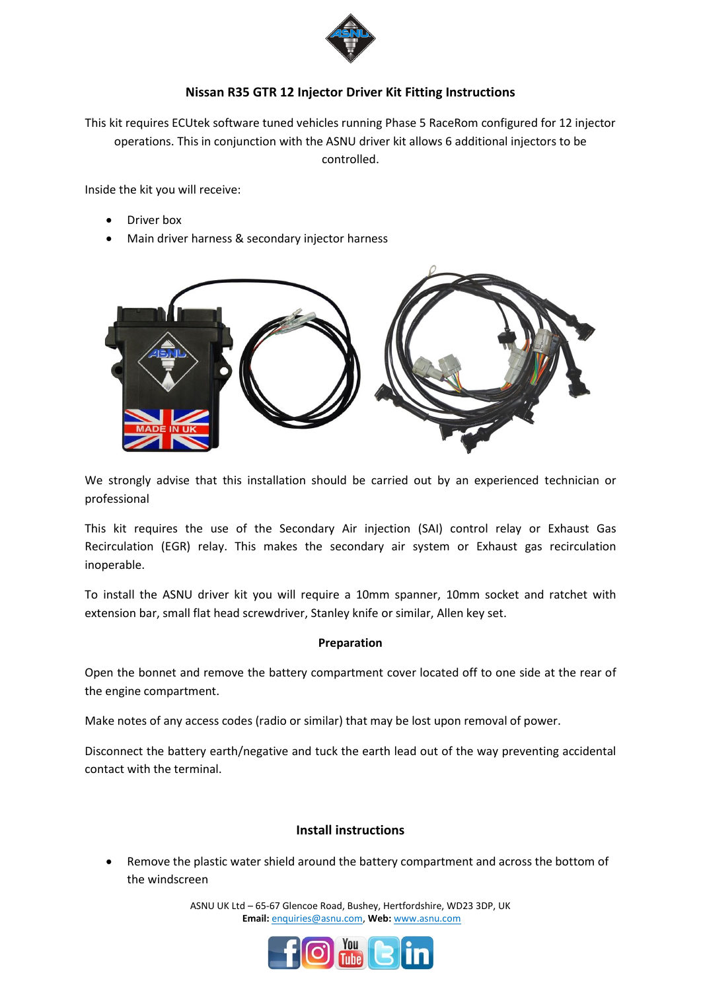

## **Nissan R35 GTR 12 Injector Driver Kit Fitting Instructions**

This kit requires ECUtek software tuned vehicles running Phase 5 RaceRom configured for 12 injector operations. This in conjunction with the ASNU driver kit allows 6 additional injectors to be controlled.

Inside the kit you will receive:

- Driver box
- Main driver harness & secondary injector harness



We strongly advise that this installation should be carried out by an experienced technician or professional

This kit requires the use of the Secondary Air injection (SAI) control relay or Exhaust Gas Recirculation (EGR) relay. This makes the secondary air system or Exhaust gas recirculation inoperable.

To install the ASNU driver kit you will require a 10mm spanner, 10mm socket and ratchet with extension bar, small flat head screwdriver, Stanley knife or similar, Allen key set.

#### **Preparation**

Open the bonnet and remove the battery compartment cover located off to one side at the rear of the engine compartment.

Make notes of any access codes (radio or similar) that may be lost upon removal of power.

Disconnect the battery earth/negative and tuck the earth lead out of the way preventing accidental contact with the terminal.

# **Install instructions**

 Remove the plastic water shield around the battery compartment and across the bottom of the windscreen

> ASNU UK Ltd – 65-67 Glencoe Road, Bushey, Hertfordshire, WD23 3DP, UK **Email:** enquiries@asnu.com, **Web:** [www.asnu.com](http://www.asnu.com/)

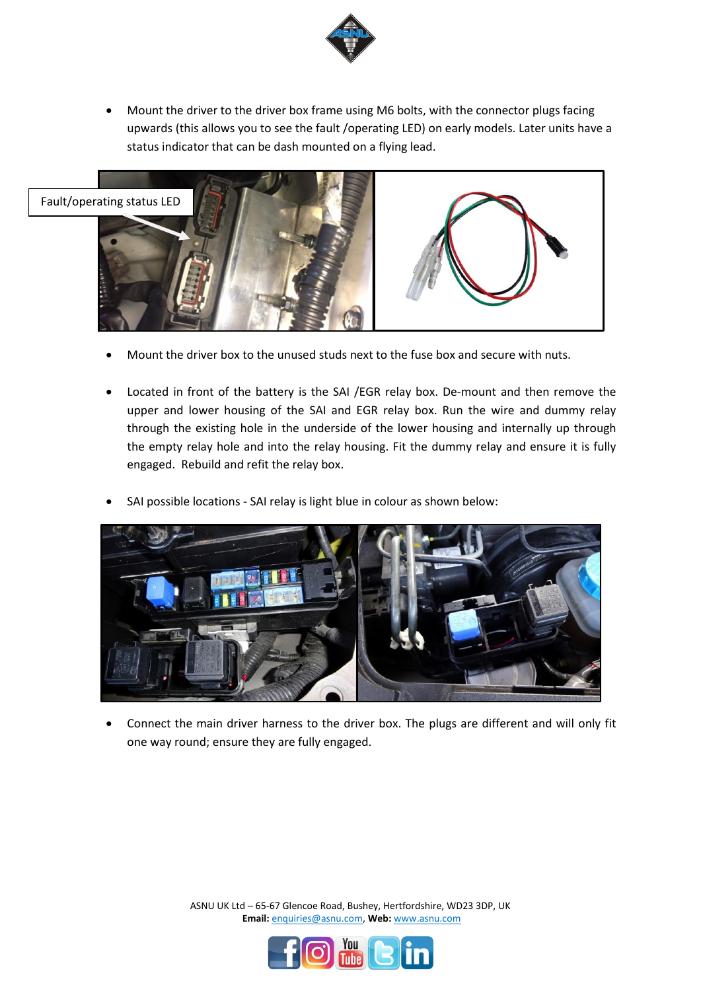

 Mount the driver to the driver box frame using M6 bolts, with the connector plugs facing upwards (this allows you to see the fault /operating LED) on early models. Later units have a status indicator that can be dash mounted on a flying lead.



- Mount the driver box to the unused studs next to the fuse box and secure with nuts.
- Located in front of the battery is the SAI /EGR relay box. De-mount and then remove the upper and lower housing of the SAI and EGR relay box. Run the wire and dummy relay through the existing hole in the underside of the lower housing and internally up through the empty relay hole and into the relay housing. Fit the dummy relay and ensure it is fully engaged. Rebuild and refit the relay box.
- SAI possible locations SAI relay is light blue in colour as shown below:



 Connect the main driver harness to the driver box. The plugs are different and will only fit one way round; ensure they are fully engaged.

> ASNU UK Ltd – 65-67 Glencoe Road, Bushey, Hertfordshire, WD23 3DP, UK **Email:** enquiries@asnu.com, **Web:** [www.asnu.com](http://www.asnu.com/)

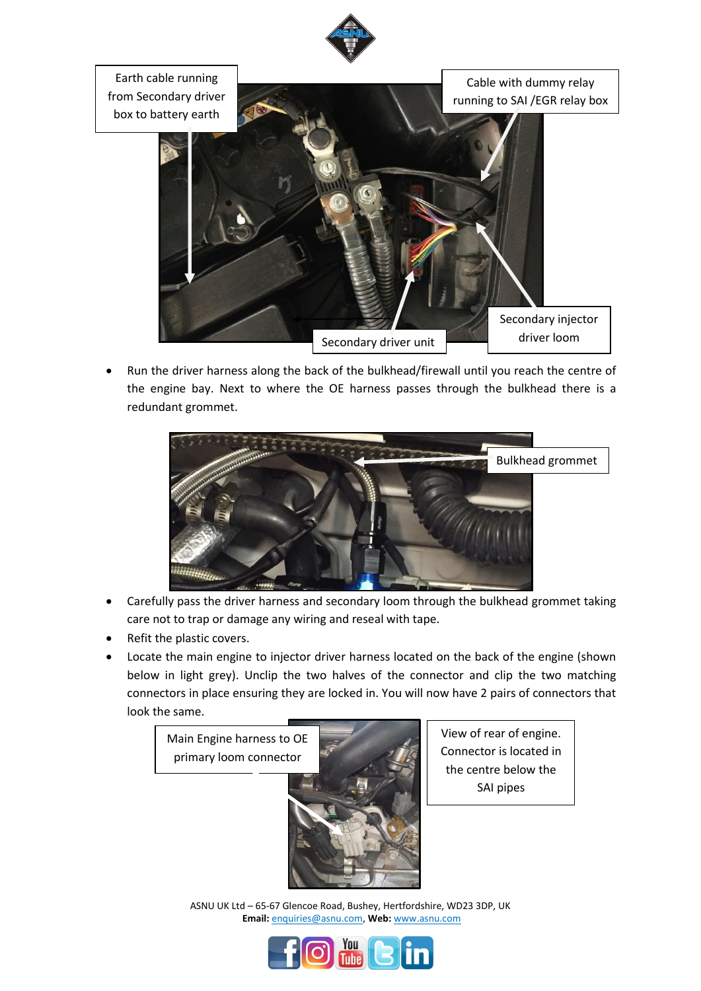

Earth cable running from Secondary driver box to battery earth

Cable with dummy relay running to SAI /EGR relay box



 Run the driver harness along the back of the bulkhead/firewall until you reach the centre of the engine bay. Next to where the OE harness passes through the bulkhead there is a redundant grommet.



- Carefully pass the driver harness and secondary loom through the bulkhead grommet taking care not to trap or damage any wiring and reseal with tape.
- Refit the plastic covers.
- Locate the main engine to injector driver harness located on the back of the engine (shown below in light grey). Unclip the two halves of the connector and clip the two matching connectors in place ensuring they are locked in. You will now have 2 pairs of connectors that look the same.



View of rear of engine. Connector is located in the centre below the SAI pipes

ASNU UK Ltd – 65-67 Glencoe Road, Bushey, Hertfordshire, WD23 3DP, UK **Email:** enquiries@asnu.com, **Web:** [www.asnu.com](http://www.asnu.com/)

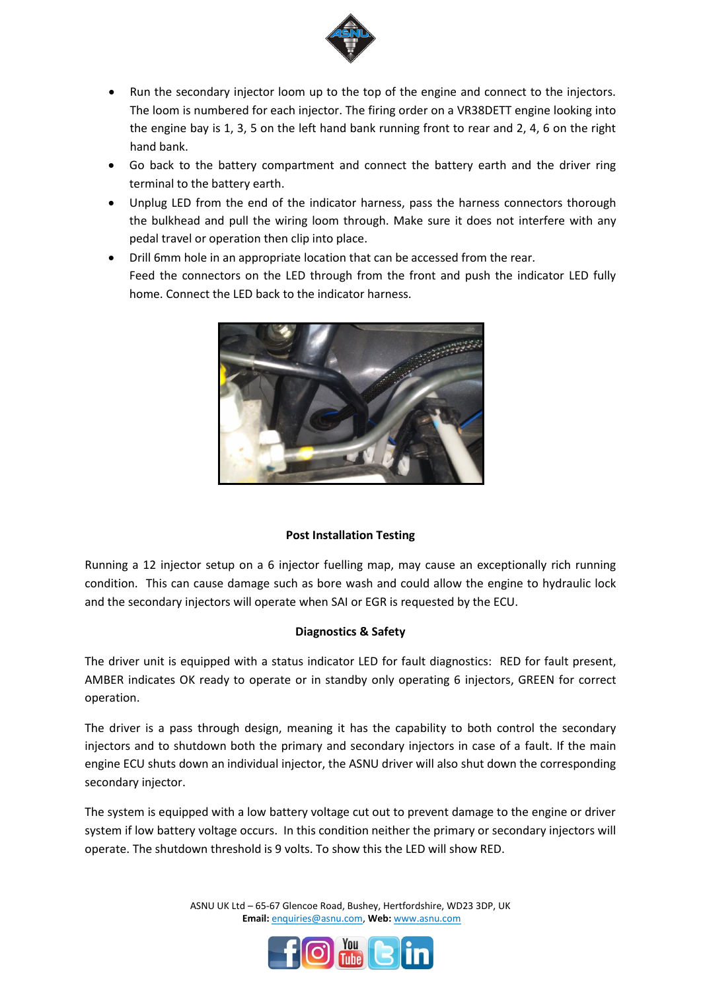

- Run the secondary injector loom up to the top of the engine and connect to the injectors. The loom is numbered for each injector. The firing order on a VR38DETT engine looking into the engine bay is 1, 3, 5 on the left hand bank running front to rear and 2, 4, 6 on the right hand bank.
- Go back to the battery compartment and connect the battery earth and the driver ring terminal to the battery earth.
- Unplug LED from the end of the indicator harness, pass the harness connectors thorough the bulkhead and pull the wiring loom through. Make sure it does not interfere with any pedal travel or operation then clip into place.
- Drill 6mm hole in an appropriate location that can be accessed from the rear. Feed the connectors on the LED through from the front and push the indicator LED fully home. Connect the LED back to the indicator harness.



## **Post Installation Testing**

Running a 12 injector setup on a 6 injector fuelling map, may cause an exceptionally rich running condition. This can cause damage such as bore wash and could allow the engine to hydraulic lock and the secondary injectors will operate when SAI or EGR is requested by the ECU.

## **Diagnostics & Safety**

The driver unit is equipped with a status indicator LED for fault diagnostics: RED for fault present, AMBER indicates OK ready to operate or in standby only operating 6 injectors, GREEN for correct operation.

The driver is a pass through design, meaning it has the capability to both control the secondary injectors and to shutdown both the primary and secondary injectors in case of a fault. If the main engine ECU shuts down an individual injector, the ASNU driver will also shut down the corresponding secondary injector.

The system is equipped with a low battery voltage cut out to prevent damage to the engine or driver system if low battery voltage occurs. In this condition neither the primary or secondary injectors will operate. The shutdown threshold is 9 volts. To show this the LED will show RED.

> ASNU UK Ltd – 65-67 Glencoe Road, Bushey, Hertfordshire, WD23 3DP, UK **Email:** enquiries@asnu.com, **Web:** [www.asnu.com](http://www.asnu.com/)